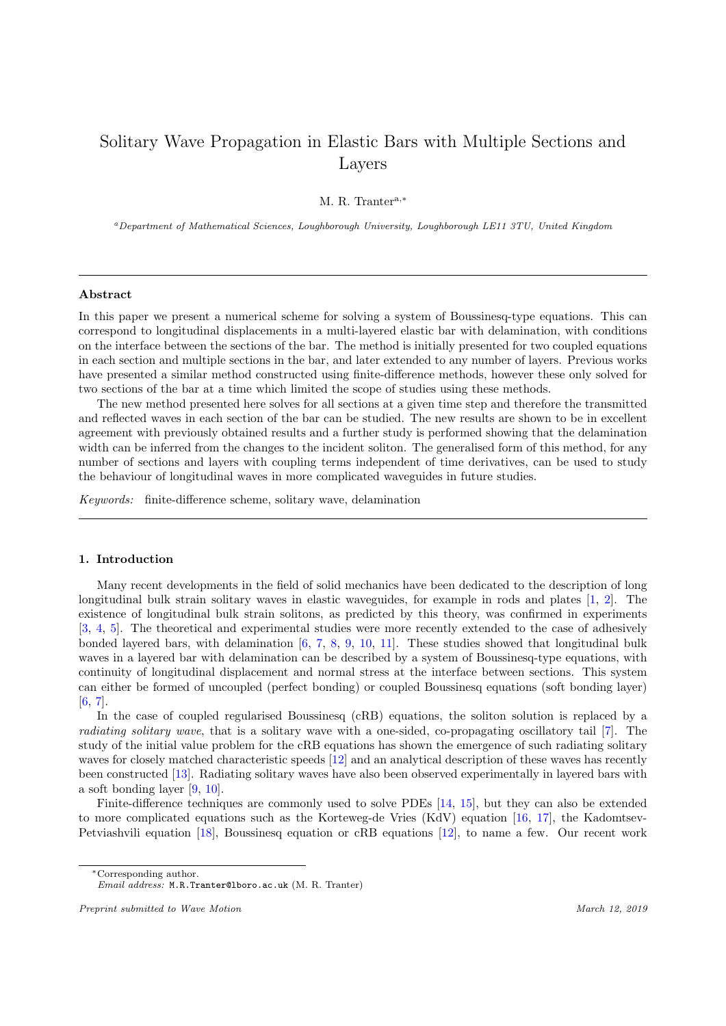# Solitary Wave Propagation in Elastic Bars with Multiple Sections and Layers

M. R. Trantera,<sup>∗</sup>

<sup>a</sup>Department of Mathematical Sciences, Loughborough University, Loughborough LE11 3TU, United Kingdom

#### Abstract

In this paper we present a numerical scheme for solving a system of Boussinesq-type equations. This can correspond to longitudinal displacements in a multi-layered elastic bar with delamination, with conditions on the interface between the sections of the bar. The method is initially presented for two coupled equations in each section and multiple sections in the bar, and later extended to any number of layers. Previous works have presented a similar method constructed using finite-difference methods, however these only solved for two sections of the bar at a time which limited the scope of studies using these methods.

The new method presented here solves for all sections at a given time step and therefore the transmitted and reflected waves in each section of the bar can be studied. The new results are shown to be in excellent agreement with previously obtained results and a further study is performed showing that the delamination width can be inferred from the changes to the incident soliton. The generalised form of this method, for any number of sections and layers with coupling terms independent of time derivatives, can be used to study the behaviour of longitudinal waves in more complicated waveguides in future studies.

Keywords: finite-difference scheme, solitary wave, delamination

#### 1. Introduction

Many recent developments in the field of solid mechanics have been dedicated to the description of long longitudinal bulk strain solitary waves in elastic waveguides, for example in rods and plates [\[1,](#page-12-0) [2\]](#page-12-1). The existence of longitudinal bulk strain solitons, as predicted by this theory, was confirmed in experiments [\[3,](#page-12-2) [4,](#page-12-3) [5\]](#page-12-4). The theoretical and experimental studies were more recently extended to the case of adhesively bonded layered bars, with delamination  $[6, 7, 8, 9, 10, 11]$  $[6, 7, 8, 9, 10, 11]$  $[6, 7, 8, 9, 10, 11]$  $[6, 7, 8, 9, 10, 11]$  $[6, 7, 8, 9, 10, 11]$  $[6, 7, 8, 9, 10, 11]$  $[6, 7, 8, 9, 10, 11]$  $[6, 7, 8, 9, 10, 11]$  $[6, 7, 8, 9, 10, 11]$  $[6, 7, 8, 9, 10, 11]$  $[6, 7, 8, 9, 10, 11]$ . These studies showed that longitudinal bulk waves in a layered bar with delamination can be described by a system of Boussinesq-type equations, with continuity of longitudinal displacement and normal stress at the interface between sections. This system can either be formed of uncoupled (perfect bonding) or coupled Boussinesq equations (soft bonding layer)  $[6, 7]$  $[6, 7]$  $[6, 7]$ .

In the case of coupled regularised Boussinesq (cRB) equations, the soliton solution is replaced by a radiating solitary wave, that is a solitary wave with a one-sided, co-propagating oscillatory tail [\[7\]](#page-12-6). The study of the initial value problem for the cRB equations has shown the emergence of such radiating solitary waves for closely matched characteristic speeds [\[12\]](#page-12-11) and an analytical description of these waves has recently been constructed [\[13\]](#page-12-12). Radiating solitary waves have also been observed experimentally in layered bars with a soft bonding layer [\[9,](#page-12-8) [10\]](#page-12-9).

Finite-difference techniques are commonly used to solve PDEs [\[14,](#page-12-13) [15\]](#page-12-14), but they can also be extended to more complicated equations such as the Korteweg-de Vries (KdV) equation [\[16,](#page-12-15) [17\]](#page-13-0), the Kadomtsev-Petviashvili equation [\[18\]](#page-13-1), Boussinesq equation or cRB equations [\[12\]](#page-12-11), to name a few. Our recent work

<sup>∗</sup>Corresponding author.

Email address: M.R.Tranter@lboro.ac.uk (M. R. Tranter)

Preprint submitted to Wave Motion  $\blacksquare$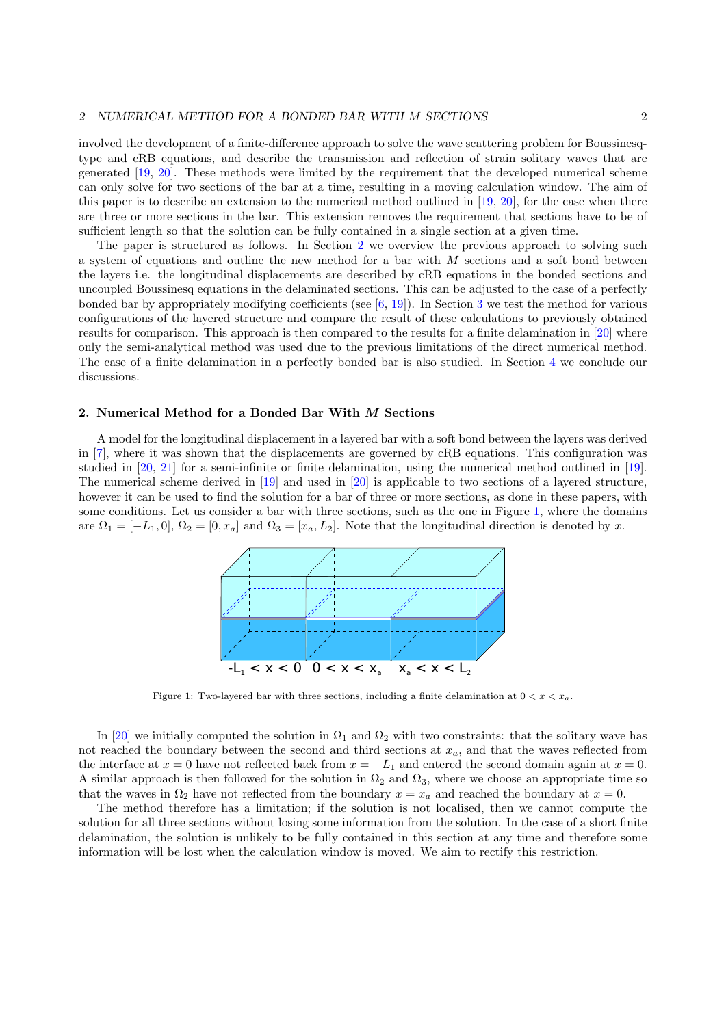involved the development of a finite-difference approach to solve the wave scattering problem for Boussinesqtype and cRB equations, and describe the transmission and reflection of strain solitary waves that are generated [\[19,](#page-13-2) [20\]](#page-13-3). These methods were limited by the requirement that the developed numerical scheme can only solve for two sections of the bar at a time, resulting in a moving calculation window. The aim of this paper is to describe an extension to the numerical method outlined in [\[19,](#page-13-2) [20\]](#page-13-3), for the case when there are three or more sections in the bar. This extension removes the requirement that sections have to be of sufficient length so that the solution can be fully contained in a single section at a given time.

The paper is structured as follows. In Section [2](#page-1-0) we overview the previous approach to solving such a system of equations and outline the new method for a bar with  $M$  sections and a soft bond between the layers i.e. the longitudinal displacements are described by cRB equations in the bonded sections and uncoupled Boussinesq equations in the delaminated sections. This can be adjusted to the case of a perfectly bonded bar by appropriately modifying coefficients (see [\[6,](#page-12-5) [19\]](#page-13-2)). In Section [3](#page-7-0) we test the method for various configurations of the layered structure and compare the result of these calculations to previously obtained results for comparison. This approach is then compared to the results for a finite delamination in [\[20\]](#page-13-3) where only the semi-analytical method was used due to the previous limitations of the direct numerical method. The case of a finite delamination in a perfectly bonded bar is also studied. In Section [4](#page-11-0) we conclude our discussions.

## <span id="page-1-0"></span>2. Numerical Method for a Bonded Bar With M Sections

<span id="page-1-1"></span>A model for the longitudinal displacement in a layered bar with a soft bond between the layers was derived in [\[7\]](#page-12-6), where it was shown that the displacements are governed by cRB equations. This configuration was studied in [\[20,](#page-13-3) [21\]](#page-13-4) for a semi-infinite or finite delamination, using the numerical method outlined in [\[19\]](#page-13-2). The numerical scheme derived in [\[19\]](#page-13-2) and used in [\[20\]](#page-13-3) is applicable to two sections of a layered structure, however it can be used to find the solution for a bar of three or more sections, as done in these papers, with some conditions. Let us consider a bar with three sections, such as the one in Figure [1,](#page-1-1) where the domains are  $\Omega_1 = [-L_1, 0], \Omega_2 = [0, x_a]$  and  $\Omega_3 = [x_a, L_2]$ . Note that the longitudinal direction is denoted by x.



Figure 1: Two-layered bar with three sections, including a finite delamination at  $0 < x < x_a$ .

In [\[20\]](#page-13-3) we initially computed the solution in  $\Omega_1$  and  $\Omega_2$  with two constraints: that the solitary wave has not reached the boundary between the second and third sections at  $x_a$ , and that the waves reflected from the interface at  $x = 0$  have not reflected back from  $x = -L_1$  and entered the second domain again at  $x = 0$ . A similar approach is then followed for the solution in  $\Omega_2$  and  $\Omega_3$ , where we choose an appropriate time so that the waves in  $\Omega_2$  have not reflected from the boundary  $x = x_a$  and reached the boundary at  $x = 0$ .

The method therefore has a limitation; if the solution is not localised, then we cannot compute the solution for all three sections without losing some information from the solution. In the case of a short finite delamination, the solution is unlikely to be fully contained in this section at any time and therefore some information will be lost when the calculation window is moved. We aim to rectify this restriction.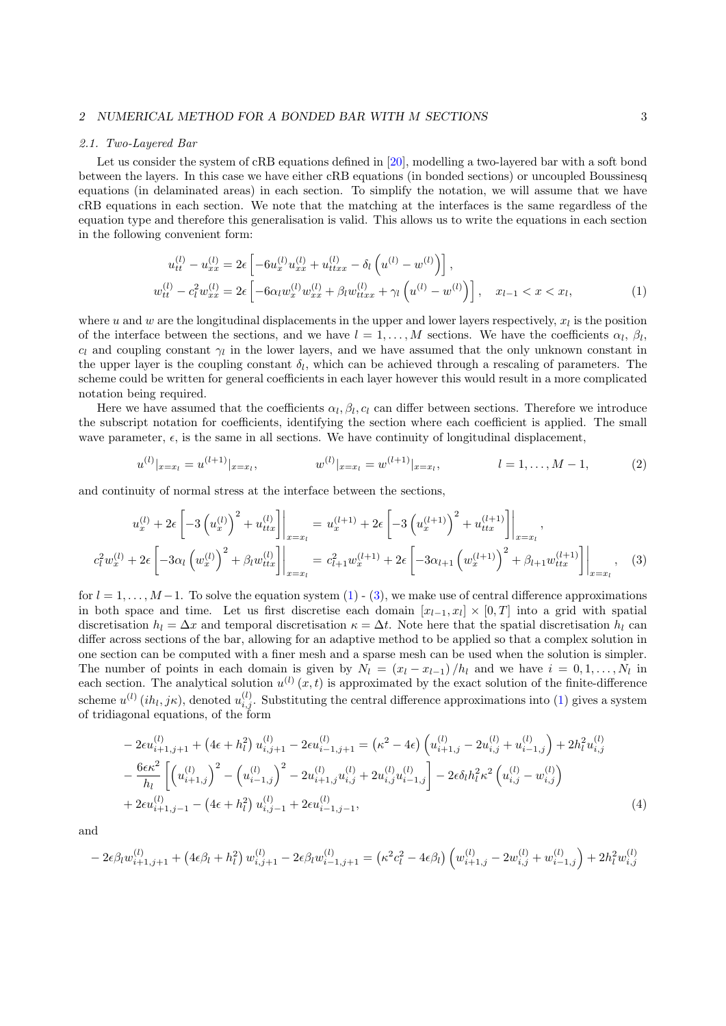#### <span id="page-2-4"></span>2.1. Two-Layered Bar

Let us consider the system of cRB equations defined in [\[20\]](#page-13-3), modelling a two-layered bar with a soft bond between the layers. In this case we have either cRB equations (in bonded sections) or uncoupled Boussinesq equations (in delaminated areas) in each section. To simplify the notation, we will assume that we have cRB equations in each section. We note that the matching at the interfaces is the same regardless of the equation type and therefore this generalisation is valid. This allows us to write the equations in each section in the following convenient form:

<span id="page-2-0"></span>
$$
u_{tt}^{(l)} - u_{xx}^{(l)} = 2\epsilon \left[ -6u_x^{(l)} u_{xx}^{(l)} + u_{ttx}^{(l)} - \delta_l \left( u^{(l)} - w^{(l)} \right) \right],
$$
  
\n
$$
w_{tt}^{(l)} - c_l^2 w_{xx}^{(l)} = 2\epsilon \left[ -6\alpha_l w_x^{(l)} w_{xx}^{(l)} + \beta_l w_{ttx}^{(l)} + \gamma_l \left( u^{(l)} - w^{(l)} \right) \right], \quad x_{l-1} < x < x_l,
$$
\n
$$
(1)
$$

where u and w are the longitudinal displacements in the upper and lower layers respectively,  $x_l$  is the position of the interface between the sections, and we have  $l = 1, \ldots, M$  sections. We have the coefficients  $\alpha_l$ ,  $\beta_l$ ,  $c_l$  and coupling constant  $\gamma_l$  in the lower layers, and we have assumed that the only unknown constant in the upper layer is the coupling constant  $\delta_l$ , which can be achieved through a rescaling of parameters. The scheme could be written for general coefficients in each layer however this would result in a more complicated notation being required.

Here we have assumed that the coefficients  $\alpha_l, \beta_l, c_l$  can differ between sections. Therefore we introduce the subscript notation for coefficients, identifying the section where each coefficient is applied. The small wave parameter,  $\epsilon$ , is the same in all sections. We have continuity of longitudinal displacement,

<span id="page-2-2"></span><span id="page-2-1"></span>
$$
u^{(l)}|_{x=x_l} = u^{(l+1)}|_{x=x_l}, \qquad \qquad w^{(l)}|_{x=x_l} = w^{(l+1)}|_{x=x_l}, \qquad \qquad l=1,\ldots,M-1,\tag{2}
$$

and continuity of normal stress at the interface between the sections,

$$
u_x^{(l)} + 2\epsilon \left[ -3\left(u_x^{(l)}\right)^2 + u_{ttx}^{(l)} \right]_{x=x_l} = u_x^{(l+1)} + 2\epsilon \left[ -3\left(u_x^{(l+1)}\right)^2 + u_{ttx}^{(l+1)} \right]_{x=x_l},
$$
  

$$
c_l^2 w_x^{(l)} + 2\epsilon \left[ -3\alpha_l \left(w_x^{(l)}\right)^2 + \beta_l w_{ttx}^{(l)} \right]_{x=x_l} = c_{l+1}^2 w_x^{(l+1)} + 2\epsilon \left[ -3\alpha_{l+1} \left(w_x^{(l+1)}\right)^2 + \beta_{l+1} w_{ttx}^{(l+1)} \right] \Big|_{x=x_l}, \quad (3)
$$

for  $l = 1, \ldots, M-1$ . To solve the equation system [\(1\)](#page-2-0) - [\(3\)](#page-2-1), we make use of central difference approximations in both space and time. Let us first discretise each domain  $[x_{l-1}, x_l] \times [0, T]$  into a grid with spatial discretisation  $h_l = \Delta x$  and temporal discretisation  $\kappa = \Delta t$ . Note here that the spatial discretisation  $h_l$  can differ across sections of the bar, allowing for an adaptive method to be applied so that a complex solution in one section can be computed with a finer mesh and a sparse mesh can be used when the solution is simpler. The number of points in each domain is given by  $N_l = (x_l - x_{l-1})/h_l$  and we have  $i = 0, 1, ..., N_l$  in each section. The analytical solution  $u^{(l)}(x,t)$  is approximated by the exact solution of the finite-difference scheme  $u^{(l)}(ih_l, j\kappa)$ , denoted  $u_{i,j}^{(l)}$ . Substituting the central difference approximations into [\(1\)](#page-2-0) gives a system of tridiagonal equations, of the form

<span id="page-2-3"></span>
$$
-2\epsilon u_{i+1,j+1}^{(l)} + (4\epsilon + h_l^2) u_{i,j+1}^{(l)} - 2\epsilon u_{i-1,j+1}^{(l)} = (\kappa^2 - 4\epsilon) \left( u_{i+1,j}^{(l)} - 2u_{i,j}^{(l)} + u_{i-1,j}^{(l)} \right) + 2h_l^2 u_{i,j}^{(l)} - \frac{6\epsilon \kappa^2}{h_l} \left[ \left( u_{i+1,j}^{(l)} \right)^2 - \left( u_{i-1,j}^{(l)} \right)^2 - 2u_{i+1,j}^{(l)} u_{i,j}^{(l)} + 2u_{i,j}^{(l)} u_{i-1,j}^{(l)} \right) - 2\epsilon \delta_l h_l^2 \kappa^2 \left( u_{i,j}^{(l)} - w_{i,j}^{(l)} \right) + 2\epsilon u_{i+1,j-1}^{(l)} - \left( 4\epsilon + h_l^2 \right) u_{i,j-1}^{(l)} + 2\epsilon u_{i-1,j-1}^{(l)}, \tag{4}
$$

and

$$
-2\epsilon\beta_l w_{i+1,j+1}^{(l)} + (4\epsilon\beta_l + h_l^2) w_{i,j+1}^{(l)} - 2\epsilon\beta_l w_{i-1,j+1}^{(l)} = (\kappa^2 c_l^2 - 4\epsilon\beta_l) \left( w_{i+1,j}^{(l)} - 2w_{i,j}^{(l)} + w_{i-1,j}^{(l)} \right) + 2h_l^2 w_{i,j}^{(l)}
$$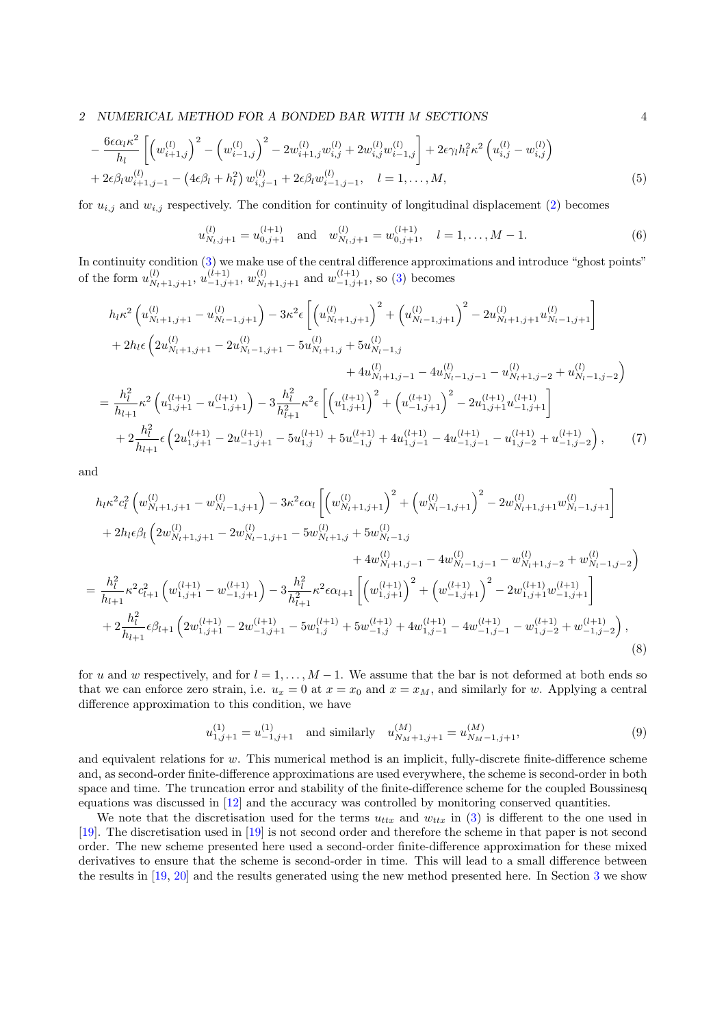$$
-\frac{6\epsilon\alpha_l\kappa^2}{h_l}\left[\left(w_{i+1,j}^{(l)}\right)^2 - \left(w_{i-1,j}^{(l)}\right)^2 - 2w_{i+1,j}^{(l)}w_{i,j}^{(l)} + 2w_{i,j}^{(l)}w_{i-1,j}^{(l)}\right] + 2\epsilon\gamma_l h_l^2\kappa^2\left(u_{i,j}^{(l)} - w_{i,j}^{(l)}\right) + 2\epsilon\beta_l w_{i+1,j-1}^{(l)} - \left(4\epsilon\beta_l + h_l^2\right)w_{i,j-1}^{(l)} + 2\epsilon\beta_l w_{i-1,j-1}^{(l)}, \quad l = 1,\ldots,M,
$$
\n(5)

for  $u_{i,j}$  and  $w_{i,j}$  respectively. The condition for continuity of longitudinal displacement [\(2\)](#page-2-2) becomes

<span id="page-3-2"></span>
$$
u_{N_l,j+1}^{(l)} = u_{0,j+1}^{(l+1)} \quad \text{and} \quad w_{N_l,j+1}^{(l)} = w_{0,j+1}^{(l+1)}, \quad l = 1, \dots, M-1. \tag{6}
$$

In continuity condition [\(3\)](#page-2-1) we make use of the central difference approximations and introduce "ghost points" of the form  $u_{N_l+1,j+1}^{(l)}$ ,  $u_{-1,j+1}^{(l+1)}$ ,  $w_{N_l+1,j+1}^{(l)}$  and  $w_{-1,j+1}^{(l+1)}$ , so [\(3\)](#page-2-1) becomes

$$
h_{lk}^{2} \left( u_{N_{l}+1,j+1}^{(l)} - u_{N_{l}-1,j+1}^{(l)} \right) - 3\kappa^{2} \epsilon \left[ \left( u_{N_{l}+1,j+1}^{(l)} \right)^{2} + \left( u_{N_{l}-1,j+1}^{(l)} \right)^{2} - 2u_{N_{l}+1,j+1}^{(l)} u_{N_{l}-1,j+1}^{(l)} \right] + 2h_{l} \epsilon \left( 2u_{N_{l}+1,j+1}^{(l)} - 2u_{N_{l}-1,j+1}^{(l)} - 5u_{N_{l}+1,j}^{(l)} + 5u_{N_{l}-1,j}^{(l)} + 4u_{N_{l}+1,j-1}^{(l)} - 4u_{N_{l}-1,j-1}^{(l)} - u_{N_{l}+1,j-2}^{(l)} + u_{N_{l}-1,j-2}^{(l)} \right) = \frac{h_{l}^{2}}{h_{l+1}} \kappa^{2} \left( u_{1,j+1}^{(l+1)} - u_{-1,j+1}^{(l+1)} \right) - 3\frac{h_{l}^{2}}{h_{l+1}^{2}} \kappa^{2} \epsilon \left[ \left( u_{1,j+1}^{(l+1)} \right)^{2} + \left( u_{-1,j+1}^{(l+1)} \right)^{2} - 2u_{1,j+1}^{(l+1)} u_{-1,j+1}^{(l+1)} \right] + 2\frac{h_{l}^{2}}{h_{l+1}} \epsilon \left( 2u_{1,j+1}^{(l+1)} - 2u_{-1,j+1}^{(l+1)} - 5u_{1,j}^{(l+1)} + 5u_{-1,j}^{(l+1)} + 4u_{1,j-1}^{(l+1)} - 4u_{-1,j-1}^{(l+1)} - u_{1,j-2}^{(l+1)} + u_{-1,j-2}^{(l+1)} \right), \tag{7}
$$

and

$$
h_{lk}^{2}c_{l}^{2}\left(w_{N_{l}+1,j+1}^{(l)}-w_{N_{l}-1,j+1}^{(l)}\right)-3\kappa^{2}\epsilon\alpha_{l}\left[\left(w_{N_{l}+1,j+1}^{(l)}\right)^{2}+\left(w_{N_{l}-1,j+1}^{(l)}\right)^{2}-2w_{N_{l}+1,j+1}^{(l)}w_{N_{l}-1,j+1}^{(l)}\right] +2h_{l}\epsilon\beta_{l}\left(2w_{N_{l}+1,j+1}^{(l)}-2w_{N_{l}-1,j+1}^{(l)}-5w_{N_{l}+1,j}^{(l)}+5w_{N_{l}-1,j}^{(l)}+4w_{N_{l}+1,j-1}^{(l)}-4w_{N_{l}-1,j-1}^{(l)}-w_{N_{l}+1,j-2}^{(l)}+w_{N_{l}-1,j-2}^{(l)}\right) =\frac{h_{l}^{2}}{h_{l+1}}\kappa^{2}c_{l+1}^{2}\left(w_{1,j+1}^{(l+1)}-w_{-1,j+1}^{(l+1)}\right)-3\frac{h_{l}^{2}}{h_{l+1}^{2}}\kappa^{2}\epsilon\alpha_{l+1}\left[\left(w_{1,j+1}^{(l+1)}\right)^{2}+\left(w_{-1,j+1}^{(l+1)}\right)^{2}-2w_{1,j+1}^{(l+1)}w_{-1,j+1}^{(l+1)}\right] +2\frac{h_{l}^{2}}{h_{l+1}}\epsilon\beta_{l+1}\left(2w_{1,j+1}^{(l+1)}-2w_{-1,j+1}^{(l+1)}-5w_{1,j}^{(l+1)}+5w_{-1,j}^{(l+1)}+4w_{1,j-1}^{(l+1)}-4w_{-1,j-1}^{(l+1)}-w_{1,j-2}^{(l+1)}+w_{-1,j-2}^{(l+1)}\right),
$$
\n(8)

for u and w respectively, and for  $l = 1, \ldots, M - 1$ . We assume that the bar is not deformed at both ends so that we can enforce zero strain, i.e.  $u_x = 0$  at  $x = x_0$  and  $x = x_M$ , and similarly for w. Applying a central difference approximation to this condition, we have

<span id="page-3-3"></span><span id="page-3-1"></span>
$$
u_{1,j+1}^{(1)} = u_{-1,j+1}^{(1)} \quad \text{and similarly} \quad u_{N_M+1,j+1}^{(M)} = u_{N_M-1,j+1}^{(M)},\tag{9}
$$

and equivalent relations for w. This numerical method is an implicit, fully-discrete finite-difference scheme and, as second-order finite-difference approximations are used everywhere, the scheme is second-order in both space and time. The truncation error and stability of the finite-difference scheme for the coupled Boussinesq equations was discussed in [\[12\]](#page-12-11) and the accuracy was controlled by monitoring conserved quantities.

We note that the discretisation used for the terms  $u_{ttx}$  and  $w_{ttx}$  in [\(3\)](#page-2-1) is different to the one used in [\[19\]](#page-13-2). The discretisation used in [\[19\]](#page-13-2) is not second order and therefore the scheme in that paper is not second order. The new scheme presented here used a second-order finite-difference approximation for these mixed derivatives to ensure that the scheme is second-order in time. This will lead to a small difference between the results in [\[19,](#page-13-2) [20\]](#page-13-3) and the results generated using the new method presented here. In Section [3](#page-7-0) we show

<span id="page-3-0"></span>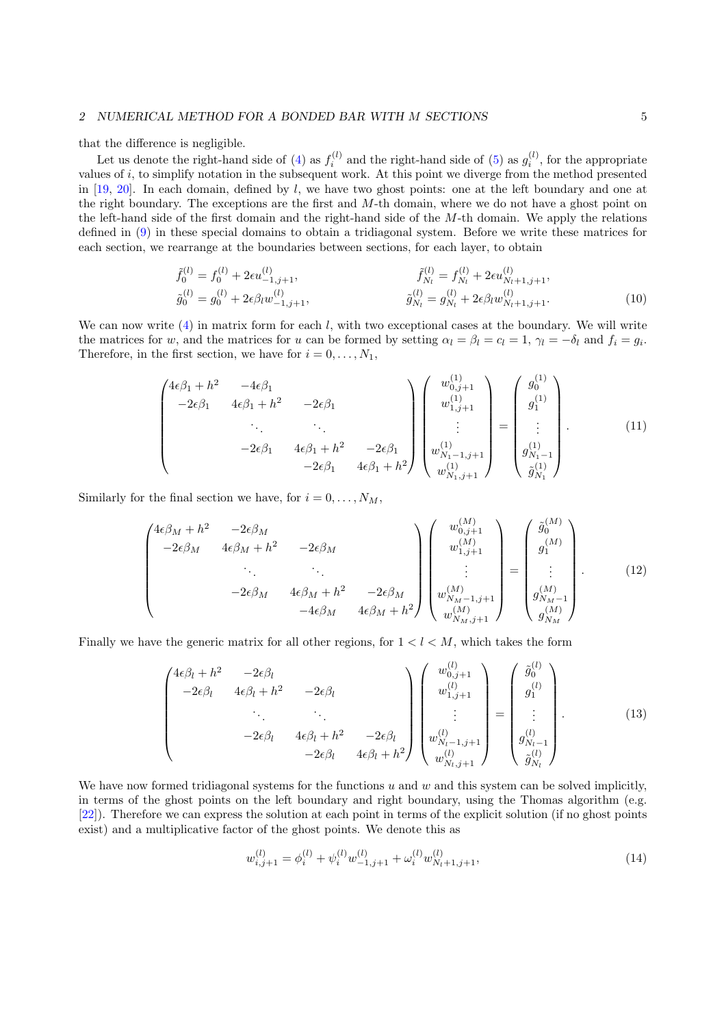that the difference is negligible.

Let us denote the right-hand side of [\(4\)](#page-2-3) as  $f_i^{(l)}$  and the right-hand side of [\(5\)](#page-3-0) as  $g_i^{(l)}$ , for the appropriate values of i, to simplify notation in the subsequent work. At this point we diverge from the method presented in  $[19, 20]$  $[19, 20]$  $[19, 20]$ . In each domain, defined by l, we have two ghost points: one at the left boundary and one at the right boundary. The exceptions are the first and M-th domain, where we do not have a ghost point on the left-hand side of the first domain and the right-hand side of the  $M$ -th domain. We apply the relations defined in [\(9\)](#page-3-1) in these special domains to obtain a tridiagonal system. Before we write these matrices for each section, we rearrange at the boundaries between sections, for each layer, to obtain

$$
\tilde{f}_{0}^{(l)} = f_{0}^{(l)} + 2\epsilon u_{-1,j+1}^{(l)}, \qquad \qquad \tilde{f}_{N_{l}}^{(l)} = f_{N_{l}}^{(l)} + 2\epsilon u_{N_{l}+1,j+1}^{(l)}, \n\tilde{g}_{0}^{(l)} = g_{0}^{(l)} + 2\epsilon \beta_{l} w_{-1,j+1}^{(l)}, \qquad \qquad \tilde{g}_{N_{l}}^{(l)} = g_{N_{l}}^{(l)} + 2\epsilon \beta_{l} w_{N_{l}+1,j+1}^{(l)}.
$$
\n(10)

We can now write  $(4)$  in matrix form for each l, with two exceptional cases at the boundary. We will write the matrices for w, and the matrices for u can be formed by setting  $\alpha_l = \beta_l = c_l = 1$ ,  $\gamma_l = -\delta_l$  and  $f_i = g_i$ . Therefore, in the first section, we have for  $i = 0, \ldots, N_1$ ,

<span id="page-4-1"></span>
$$
\begin{pmatrix}\n4\epsilon\beta_1 + h^2 & -4\epsilon\beta_1 & & & \\
-2\epsilon\beta_1 & 4\epsilon\beta_1 + h^2 & -2\epsilon\beta_1 & & \\
& \ddots & \ddots & \ddots & \\
& & -2\epsilon\beta_1 & 4\epsilon\beta_1 + h^2 & -2\epsilon\beta_1 & \\
& & & -2\epsilon\beta_1 & 4\epsilon\beta_1 + h^2\n\end{pmatrix}\n\begin{pmatrix}\nw_{0,j+1}^{(1)} \\
w_{1,j+1}^{(1)} \\
\vdots \\
w_{N_1-1,j+1}^{(1)} \\
\vdots \\
w_{N_1,j+1}^{(1)}\n\end{pmatrix} = \begin{pmatrix}\ng_0^{(1)} \\
g_1^{(1)} \\
\vdots \\
g_{N_1-1}^{(1)} \\
\vdots \\
g_{N_1}^{(1)}\n\end{pmatrix}
$$
\n(11)

Similarly for the final section we have, for  $i = 0, \ldots, N_M$ ,

<span id="page-4-3"></span>
$$
\begin{pmatrix}\n4\epsilon\beta_{M} + h^{2} & -2\epsilon\beta_{M} & & \\
-2\epsilon\beta_{M} & 4\epsilon\beta_{M} + h^{2} & -2\epsilon\beta_{M} & & \\
& \ddots & \ddots & \ddots & \\
& & -2\epsilon\beta_{M} & 4\epsilon\beta_{M} + h^{2} & -2\epsilon\beta_{M} & \\
& & & -4\epsilon\beta_{M} & 4\epsilon\beta_{M} + h^{2}\n\end{pmatrix}\n\begin{pmatrix}\nw_{0,j+1}^{(M)} \\
w_{1,j+1}^{(M)} \\
\vdots \\
w_{N_{M-1,j+1}}^{(M)} \\
w_{N_{M-1,j+1}}^{(M)}\n\end{pmatrix} = \begin{pmatrix}\n\tilde{g}_{0}^{(M)} \\
g_{1}^{(M)} \\
\vdots \\
g_{N_{M-1}}^{(M)}\n\end{pmatrix}.
$$
\n(12)

Finally we have the generic matrix for all other regions, for  $1 < l < M$ , which takes the form

<span id="page-4-2"></span>
$$
\begin{pmatrix}\n4\epsilon \beta_l + h^2 & -2\epsilon \beta_l & & \\
-2\epsilon \beta_l & 4\epsilon \beta_l + h^2 & -2\epsilon \beta_l & & \\
& \ddots & \ddots & \ddots & \\
& & -2\epsilon \beta_l & 4\epsilon \beta_l + h^2 & -2\epsilon \beta_l & \\
& & & -2\epsilon \beta_l & 4\epsilon \beta_l + h^2\n\end{pmatrix}\n\begin{pmatrix}\nw_{0,j+1}^{(l)} \\
w_{1,j+1}^{(l)} \\
\vdots \\
w_{N_l-1,j+1}^{(l)} \\
w_{N_l,j+1}^{(l)}\n\end{pmatrix} = \begin{pmatrix}\n\tilde{g}_0^{(l)} \\
g_1^{(l)} \\
\vdots \\
g_{N_l-1}^{(l)} \\
\tilde{g}_{N_l}^{(l)}\n\end{pmatrix}.
$$
\n(13)

We have now formed tridiagonal systems for the functions  $u$  and  $w$  and this system can be solved implicitly, in terms of the ghost points on the left boundary and right boundary, using the Thomas algorithm (e.g. [\[22\]](#page-13-5)). Therefore we can express the solution at each point in terms of the explicit solution (if no ghost points exist) and a multiplicative factor of the ghost points. We denote this as

<span id="page-4-0"></span>
$$
w_{i,j+1}^{(l)} = \phi_i^{(l)} + \psi_i^{(l)} w_{-1,j+1}^{(l)} + \omega_i^{(l)} w_{N_l+1,j+1}^{(l)},
$$
\n(14)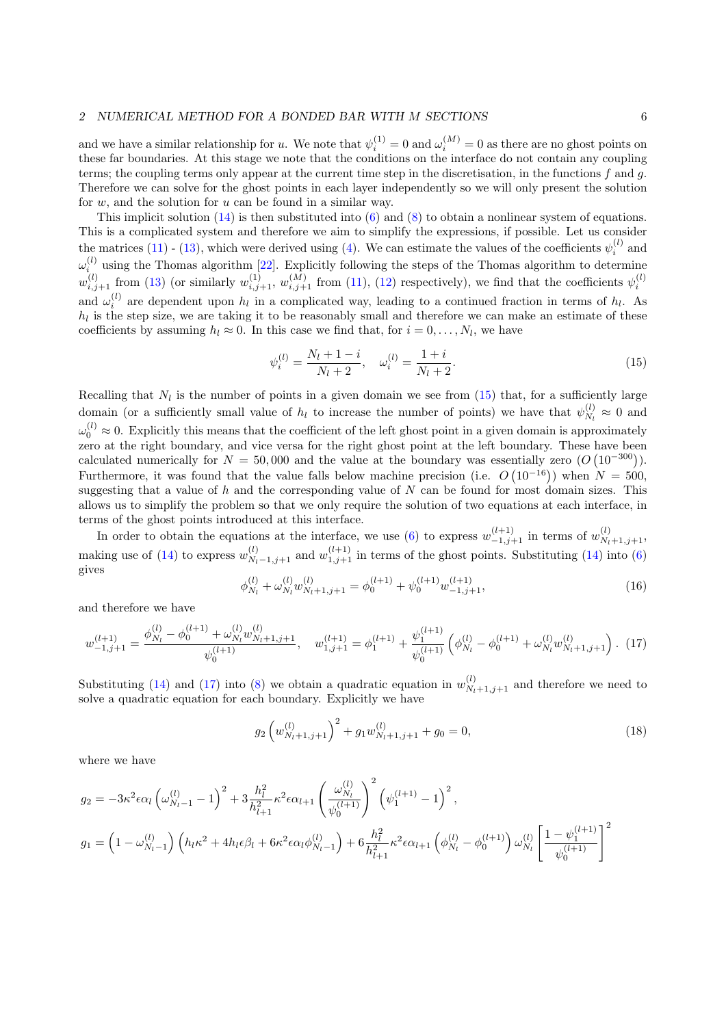and we have a similar relationship for u. We note that  $\psi_i^{(1)} = 0$  and  $\omega_i^{(M)} = 0$  as there are no ghost points on these far boundaries. At this stage we note that the conditions on the interface do not contain any coupling terms; the coupling terms only appear at the current time step in the discretisation, in the functions f and g. Therefore we can solve for the ghost points in each layer independently so we will only present the solution for  $w$ , and the solution for  $u$  can be found in a similar way.

This implicit solution  $(14)$  is then substituted into  $(6)$  and  $(8)$  to obtain a nonlinear system of equations. This is a complicated system and therefore we aim to simplify the expressions, if possible. Let us consider the matrices [\(11\)](#page-4-1) - [\(13\)](#page-4-2), which were derived using [\(4\)](#page-2-3). We can estimate the values of the coefficients  $\psi_i^{(l)}$  and i  $\omega_i^{(l)}$  using the Thomas algorithm [\[22\]](#page-13-5). Explicitly following the steps of the Thomas algorithm to determine  $w_{i,j+1}^{(l)}$  from [\(13\)](#page-4-2) (or similarly  $w_{i,j+1}^{(1)}$ ,  $w_{i,j+1}^{(M)}$  from [\(11\)](#page-4-1), [\(12\)](#page-4-3) respectively), we find that the coefficients  $\psi_i^{(l)}$ and  $\omega_i^{(l)}$  are dependent upon  $h_l$  in a complicated way, leading to a continued fraction in terms of  $h_l$ . As  $h_l$  is the step size, we are taking it to be reasonably small and therefore we can make an estimate of these coefficients by assuming  $h_l \approx 0$ . In this case we find that, for  $i = 0, \ldots, N_l$ , we have

<span id="page-5-0"></span>
$$
\psi_i^{(l)} = \frac{N_l + 1 - i}{N_l + 2}, \quad \omega_i^{(l)} = \frac{1 + i}{N_l + 2}.
$$
\n(15)

Recalling that  $N_l$  is the number of points in a given domain we see from  $(15)$  that, for a sufficiently large domain (or a sufficiently small value of  $h_l$  to increase the number of points) we have that  $\psi_{N_l}^{(l)}$  $y_{N_l}^{(l)} \approx 0$  and  $\omega_0^{(l)} \approx 0$ . Explicitly this means that the coefficient of the left ghost point in a given domain is approximately zero at the right boundary, and vice versa for the right ghost point at the left boundary. These have been calculated numerically for  $N = 50,000$  and the value at the boundary was essentially zero  $(O(10^{-300}))$ . Furthermore, it was found that the value falls below machine precision (i.e.  $O(10^{-16})$ ) when  $N = 500$ , suggesting that a value of h and the corresponding value of  $N$  can be found for most domain sizes. This allows us to simplify the problem so that we only require the solution of two equations at each interface, in terms of the ghost points introduced at this interface.

In order to obtain the equations at the interface, we use [\(6\)](#page-3-2) to express  $w_{-1,j+1}^{(l+1)}$  in terms of  $w_{N_l+1,j+1}^{(l)}$ , making use of [\(14\)](#page-4-0) to express  $w_{N_l-1,j+1}^{(l)}$  and  $w_{1,j+1}^{(l+1)}$  in terms of the ghost points. Substituting (14) into [\(6\)](#page-3-2) gives

$$
\phi_{N_l}^{(l)} + \omega_{N_l}^{(l)} w_{N_l+1,j+1}^{(l)} = \phi_0^{(l+1)} + \psi_0^{(l+1)} w_{-1,j+1}^{(l+1)},\tag{16}
$$

and therefore we have

<span id="page-5-1"></span>
$$
w_{-1,j+1}^{(l+1)} = \frac{\phi_{N_l}^{(l)} - \phi_0^{(l+1)} + \omega_{N_l}^{(l)} w_{N_l+1,j+1}^{(l)}}{\psi_0^{(l+1)}}, \quad w_{1,j+1}^{(l+1)} = \phi_1^{(l+1)} + \frac{\psi_1^{(l+1)}}{\psi_0^{(l+1)}} \left(\phi_{N_l}^{(l)} - \phi_0^{(l+1)} + \omega_{N_l}^{(l)} w_{N_l+1,j+1}^{(l)}\right). \tag{17}
$$

Substituting [\(14\)](#page-4-0) and [\(17\)](#page-5-1) into [\(8\)](#page-3-3) we obtain a quadratic equation in  $w_{N_l+1,j+1}^{(l)}$  and therefore we need to solve a quadratic equation for each boundary. Explicitly we have

$$
g_2\left(w_{N_l+1,j+1}^{(l)}\right)^2 + g_1 w_{N_l+1,j+1}^{(l)} + g_0 = 0,\tag{18}
$$

where we have

$$
g_2 = -3\kappa^2 \epsilon \alpha_l \left(\omega_{N_l-1}^{(l)} - 1\right)^2 + 3\frac{h_l^2}{h_{l+1}^2} \kappa^2 \epsilon \alpha_{l+1} \left(\frac{\omega_{N_l}^{(l)}}{\psi_0^{(l+1)}}\right)^2 \left(\psi_1^{(l+1)} - 1\right)^2,
$$
  

$$
g_1 = \left(1 - \omega_{N_l-1}^{(l)}\right) \left(h_l \kappa^2 + 4h_l \epsilon \beta_l + 6\kappa^2 \epsilon \alpha_l \phi_{N_l-1}^{(l)}\right) + 6\frac{h_l^2}{h_{l+1}^2} \kappa^2 \epsilon \alpha_{l+1} \left(\phi_{N_l}^{(l)} - \phi_0^{(l+1)}\right) \omega_{N_l}^{(l)} \left[\frac{1 - \psi_1^{(l+1)}}{\psi_0^{(l+1)}}\right]^2
$$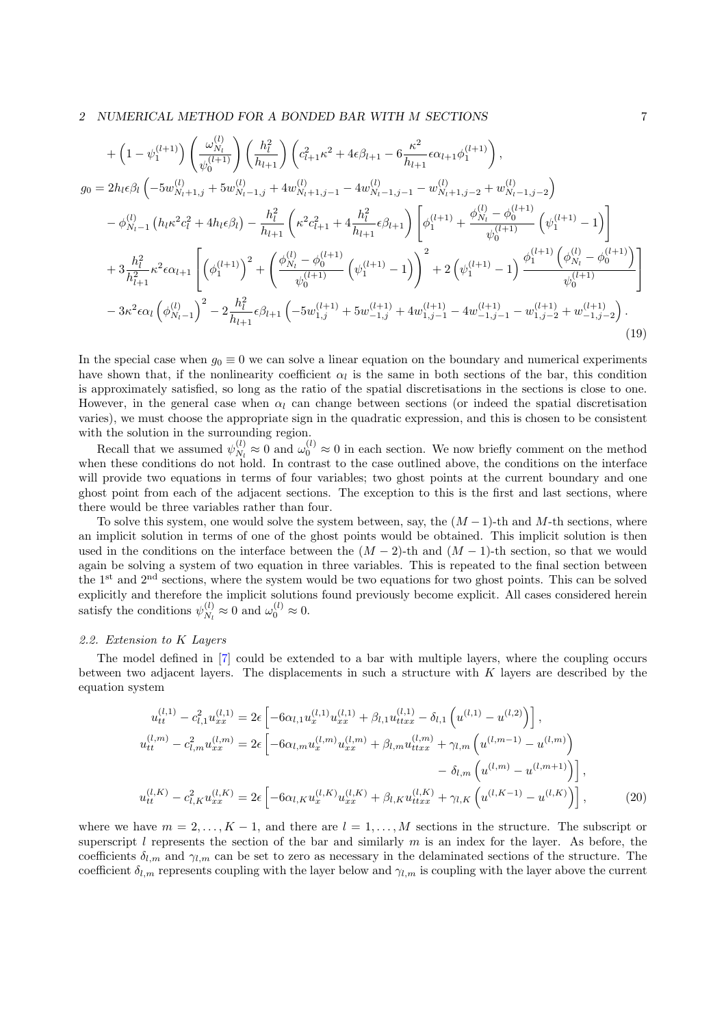$$
+\left(1-\psi_{1}^{(l+1)}\right)\left(\frac{\omega_{N_{l}}^{(l)}}{\psi_{0}^{(l+1)}}\right)\left(\frac{h_{l}^{2}}{h_{l+1}}\right)\left(c_{l+1}^{2}\kappa^{2}+4\epsilon\beta_{l+1}-6\frac{\kappa^{2}}{h_{l+1}}\epsilon\alpha_{l+1}\phi_{1}^{(l+1)}\right),
$$
\n
$$
g_{0}=2h_{l}\epsilon\beta_{l}\left(-5w_{N_{l}+1,j}^{(l)}+5w_{N_{l}-1,j}^{(l)}+4w_{N_{l}+1,j-1}^{(l)}-4w_{N_{l}-1,j-1}^{(l)}-w_{N_{l}+1,j-2}^{(l)}+w_{N_{l}-1,j-2}^{(l)}\right)
$$
\n
$$
-\phi_{N_{l-1}}^{(l)}\left(h_{l}\kappa^{2}c_{l}^{2}+4h_{l}\epsilon\beta_{l}\right)-\frac{h_{l}^{2}}{h_{l+1}}\left(\kappa^{2}c_{l+1}^{2}+4\frac{h_{l}^{2}}{h_{l+1}}\epsilon\beta_{l+1}\right)\left[\phi_{1}^{(l+1)}+\frac{\phi_{N_{l}}^{(l)}-\phi_{0}^{(l+1)}}{\psi_{0}^{(l+1)}}\left(\psi_{1}^{(l+1)}-1\right)\right]
$$
\n
$$
+3\frac{h_{l}^{2}}{h_{l+1}^{2}}\kappa^{2}\epsilon\alpha_{l+1}\left[\left(\phi_{1}^{(l+1)}\right)^{2}+\left(\frac{\phi_{N_{l}}^{(l)}-\phi_{0}^{(l+1)}}{\psi_{0}^{(l+1)}}\left(\psi_{1}^{(l+1)}-1\right)\right)^{2}+2\left(\psi_{1}^{(l+1)}-1\right)\frac{\phi_{1}^{(l+1)}\left(\phi_{N_{l}}^{(l)}-\phi_{0}^{(l+1)}\right)}{\psi_{0}^{(l+1)}}\right]
$$
\n
$$
-3\kappa^{2}\epsilon\alpha_{l}\left(\phi_{N_{l-1}}^{(l)}\right)^{2}-2\frac{h_{l}^{2}}{h_{l+1}}\epsilon\beta_{l+1}\left(-5w_{1,j}^{(l+1)}+5w_{-1,j}^{(l+1)}+4w_{1,j-1}^{(l+1)}-4w_{
$$

In the special case when  $g_0 \equiv 0$  we can solve a linear equation on the boundary and numerical experiments have shown that, if the nonlinearity coefficient  $\alpha_l$  is the same in both sections of the bar, this condition is approximately satisfied, so long as the ratio of the spatial discretisations in the sections is close to one. However, in the general case when  $\alpha_l$  can change between sections (or indeed the spatial discretisation varies), we must choose the appropriate sign in the quadratic expression, and this is chosen to be consistent with the solution in the surrounding region.

Recall that we assumed  $\psi_{N}^{(l)}$  $\omega_{N_l}^{(l)} \approx 0$  and  $\omega_0^{(l)} \approx 0$  in each section. We now briefly comment on the method when these conditions do not hold. In contrast to the case outlined above, the conditions on the interface will provide two equations in terms of four variables; two ghost points at the current boundary and one ghost point from each of the adjacent sections. The exception to this is the first and last sections, where there would be three variables rather than four.

To solve this system, one would solve the system between, say, the  $(M-1)$ -th and M-th sections, where an implicit solution in terms of one of the ghost points would be obtained. This implicit solution is then used in the conditions on the interface between the  $(M-2)$ -th and  $(M-1)$ -th section, so that we would again be solving a system of two equation in three variables. This is repeated to the final section between the 1<sup>st</sup> and 2<sup>nd</sup> sections, where the system would be two equations for two ghost points. This can be solved explicitly and therefore the implicit solutions found previously become explicit. All cases considered herein satisfy the conditions  $\psi_{N}^{(l)}$  $\omega_0^{(l)} \approx 0$  and  $\omega_0^{(l)} \approx 0$ .

#### 2.2. Extension to K Layers

The model defined in [\[7\]](#page-12-6) could be extended to a bar with multiple layers, where the coupling occurs between two adjacent layers. The displacements in such a structure with  $K$  layers are described by the equation system

$$
u_{tt}^{(l,1)} - c_{l,1}^{2} u_{xx}^{(l,1)} = 2\epsilon \left[ -6\alpha_{l,1} u_{xx}^{(l,1)} + \beta_{l,1} u_{txx}^{(l,1)} - \delta_{l,1} \left( u^{(l,1)} - u^{(l,2)} \right) \right],
$$
  
\n
$$
u_{tt}^{(l,m)} - c_{l,m}^{2} u_{xx}^{(l,m)} = 2\epsilon \left[ -6\alpha_{l,m} u_{x}^{(l,m)} u_{xx}^{(l,m)} + \beta_{l,m} u_{txx}^{(l,m)} + \gamma_{l,m} \left( u^{(l,m-1)} - u^{(l,m)} \right) \right]
$$
  
\n
$$
u_{tt}^{(l,K)} - c_{l,K}^{2} u_{xx}^{(l,K)} = 2\epsilon \left[ -6\alpha_{l,K} u_{x}^{(l,K)} u_{xx}^{(l,K)} + \beta_{l,K} u_{txx}^{(l,K)} + \gamma_{l,K} \left( u^{(l,K-1)} - u^{(l,K)} \right) \right],
$$
  
\n(20)

where we have  $m = 2, \ldots, K - 1$ , and there are  $l = 1, \ldots, M$  sections in the structure. The subscript or superscript l represents the section of the bar and similarly  $m$  is an index for the layer. As before, the coefficients  $\delta_{l,m}$  and  $\gamma_{l,m}$  can be set to zero as necessary in the delaminated sections of the structure. The coefficient  $\delta_{l,m}$  represents coupling with the layer below and  $\gamma_{l,m}$  is coupling with the layer above the current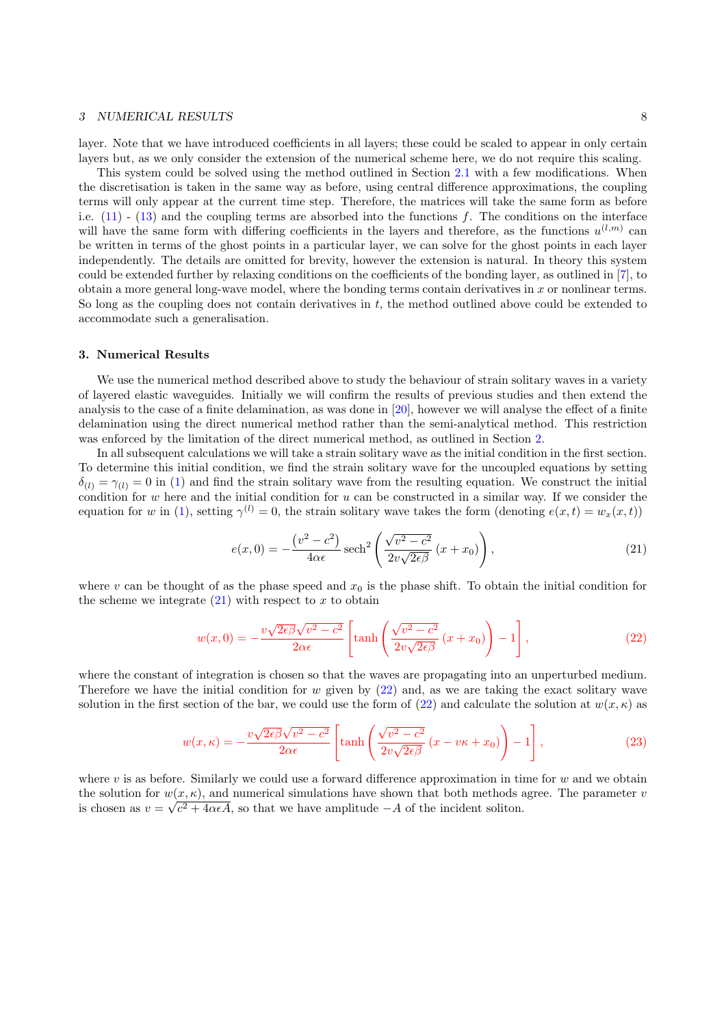# 3 NUMERICAL RESULTS 8

layer. Note that we have introduced coefficients in all layers; these could be scaled to appear in only certain layers but, as we only consider the extension of the numerical scheme here, we do not require this scaling.

This system could be solved using the method outlined in Section [2.1](#page-2-4) with a few modifications. When the discretisation is taken in the same way as before, using central difference approximations, the coupling terms will only appear at the current time step. Therefore, the matrices will take the same form as before i.e.  $(11)$  -  $(13)$  and the coupling terms are absorbed into the functions f. The conditions on the interface will have the same form with differing coefficients in the layers and therefore, as the functions  $u^{(l,m)}$  can be written in terms of the ghost points in a particular layer, we can solve for the ghost points in each layer independently. The details are omitted for brevity, however the extension is natural. In theory this system could be extended further by relaxing conditions on the coefficients of the bonding layer, as outlined in [\[7\]](#page-12-6), to obtain a more general long-wave model, where the bonding terms contain derivatives in  $x$  or nonlinear terms. So long as the coupling does not contain derivatives in  $t$ , the method outlined above could be extended to accommodate such a generalisation.

#### <span id="page-7-0"></span>3. Numerical Results

We use the numerical method described above to study the behaviour of strain solitary waves in a variety of layered elastic waveguides. Initially we will confirm the results of previous studies and then extend the analysis to the case of a finite delamination, as was done in [\[20\]](#page-13-3), however we will analyse the effect of a finite delamination using the direct numerical method rather than the semi-analytical method. This restriction was enforced by the limitation of the direct numerical method, as outlined in Section [2.](#page-1-0)

In all subsequent calculations we will take a strain solitary wave as the initial condition in the first section. To determine this initial condition, we find the strain solitary wave for the uncoupled equations by setting  $\delta_{(l)} = \gamma_{(l)} = 0$  in [\(1\)](#page-2-0) and find the strain solitary wave from the resulting equation. We construct the initial condition for  $w$  here and the initial condition for  $u$  can be constructed in a similar way. If we consider the equation for w in [\(1\)](#page-2-0), setting  $\gamma^{(l)} = 0$ , the strain solitary wave takes the form (denoting  $e(x, t) = w_x(x, t)$ )

<span id="page-7-1"></span>
$$
e(x,0) = -\frac{\left(v^2 - c^2\right)}{4\alpha\epsilon} \operatorname{sech}^2\left(\frac{\sqrt{v^2 - c^2}}{2v\sqrt{2\epsilon\beta}}\left(x + x_0\right)\right),\tag{21}
$$

where v can be thought of as the phase speed and  $x_0$  is the phase shift. To obtain the initial condition for the scheme we integrate  $(21)$  with respect to x to obtain

<span id="page-7-2"></span>
$$
w(x,0) = -\frac{v\sqrt{2\epsilon\beta}\sqrt{v^2 - c^2}}{2\alpha\epsilon} \left[ \tanh\left(\frac{\sqrt{v^2 - c^2}}{2v\sqrt{2\epsilon\beta}} (x + x_0)\right) - 1 \right],\tag{22}
$$

where the constant of integration is chosen so that the waves are propagating into an unperturbed medium. Therefore we have the initial condition for w given by  $(22)$  and, as we are taking the exact solitary wave solution in the first section of the bar, we could use the form of [\(22\)](#page-7-2) and calculate the solution at  $w(x, \kappa)$  as

$$
w(x,\kappa) = -\frac{v\sqrt{2\epsilon\beta}\sqrt{v^2 - c^2}}{2\alpha\epsilon} \left[ \tanh\left(\frac{\sqrt{v^2 - c^2}}{2v\sqrt{2\epsilon\beta}}\left(x - v\kappa + x_0\right)\right) - 1 \right],\tag{23}
$$

where  $v$  is as before. Similarly we could use a forward difference approximation in time for  $w$  and we obtain the solution for  $w(x, \kappa)$ , and numerical simulations have shown that both methods agree. The parameter v is chosen as  $v = \sqrt{c^2 + 4\alpha \epsilon A}$ , so that we have amplitude  $-A$  of the incident soliton.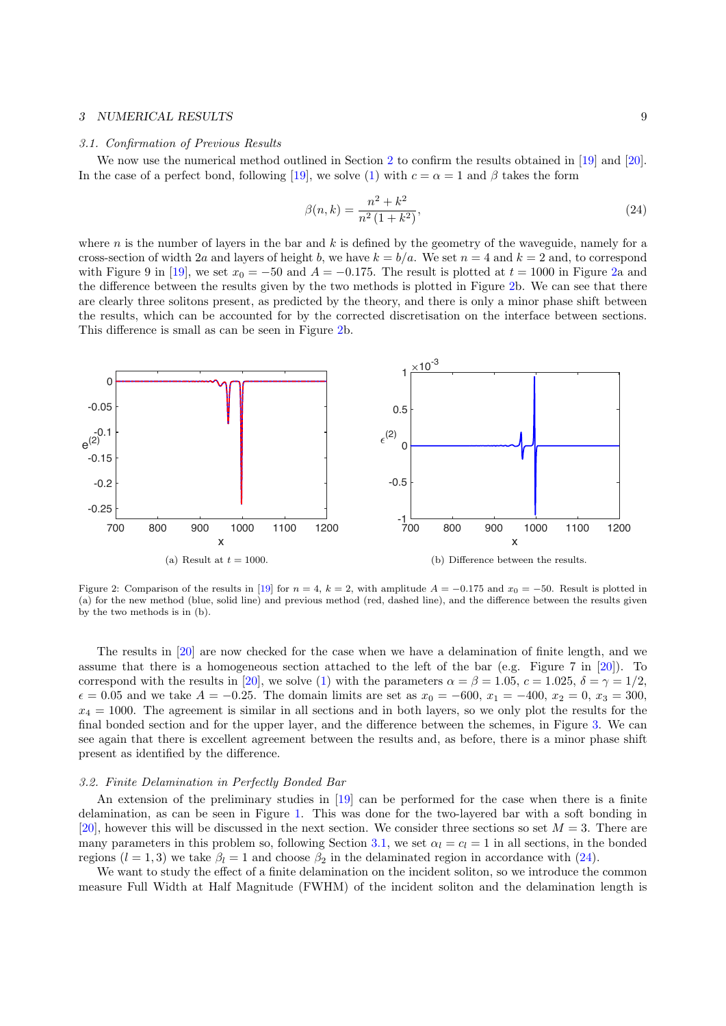# 3 NUMERICAL RESULTS 9

#### <span id="page-8-1"></span>3.1. Confirmation of Previous Results

We now use the numerical method outlined in Section [2](#page-1-0) to confirm the results obtained in [\[19\]](#page-13-2) and [\[20\]](#page-13-3). In the case of a perfect bond, following [\[19\]](#page-13-2), we solve [\(1\)](#page-2-0) with  $c = \alpha = 1$  and  $\beta$  takes the form

<span id="page-8-2"></span>
$$
\beta(n,k) = \frac{n^2 + k^2}{n^2 (1 + k^2)},\tag{24}
$$

where  $n$  is the number of layers in the bar and  $k$  is defined by the geometry of the waveguide, namely for a cross-section of width 2a and layers of height b, we have  $k = b/a$ . We set  $n = 4$  and  $k = 2$  and, to correspond with Figure 9 in [\[19\]](#page-13-2), we set  $x_0 = -50$  and  $A = -0.175$ . The result is plotted at  $t = 1000$  in Figure [2a](#page-8-0) and the difference between the results given by the two methods is plotted in Figure [2b](#page-8-0). We can see that there are clearly three solitons present, as predicted by the theory, and there is only a minor phase shift between the results, which can be accounted for by the corrected discretisation on the interface between sections. This difference is small as can be seen in Figure [2b](#page-8-0).

<span id="page-8-0"></span>

Figure 2: Comparison of the results in [\[19\]](#page-13-2) for  $n = 4$ ,  $k = 2$ , with amplitude  $A = -0.175$  and  $x_0 = -50$ . Result is plotted in (a) for the new method (blue, solid line) and previous method (red, dashed line), and the difference between the results given by the two methods is in (b).

The results in [\[20\]](#page-13-3) are now checked for the case when we have a delamination of finite length, and we assume that there is a homogeneous section attached to the left of the bar (e.g. Figure 7 in [\[20\]](#page-13-3)). To correspond with the results in [\[20\]](#page-13-3), we solve [\(1\)](#page-2-0) with the parameters  $\alpha = \beta = 1.05$ ,  $c = 1.025$ ,  $\delta = \gamma = 1/2$ ,  $\epsilon = 0.05$  and we take  $A = -0.25$ . The domain limits are set as  $x_0 = -600$ ,  $x_1 = -400$ ,  $x_2 = 0$ ,  $x_3 = 300$ ,  $x_4 = 1000$ . The agreement is similar in all sections and in both layers, so we only plot the results for the final bonded section and for the upper layer, and the difference between the schemes, in Figure [3.](#page-9-0) We can see again that there is excellent agreement between the results and, as before, there is a minor phase shift present as identified by the difference.

#### 3.2. Finite Delamination in Perfectly Bonded Bar

An extension of the preliminary studies in [\[19\]](#page-13-2) can be performed for the case when there is a finite delamination, as can be seen in Figure [1.](#page-1-1) This was done for the two-layered bar with a soft bonding in [\[20\]](#page-13-3), however this will be discussed in the next section. We consider three sections so set  $M = 3$ . There are many parameters in this problem so, following Section [3.1,](#page-8-1) we set  $\alpha_l = c_l = 1$  in all sections, in the bonded regions  $(l = 1, 3)$  we take  $\beta_l = 1$  and choose  $\beta_2$  in the delaminated region in accordance with [\(24\)](#page-8-2).

We want to study the effect of a finite delamination on the incident soliton, so we introduce the common measure Full Width at Half Magnitude (FWHM) of the incident soliton and the delamination length is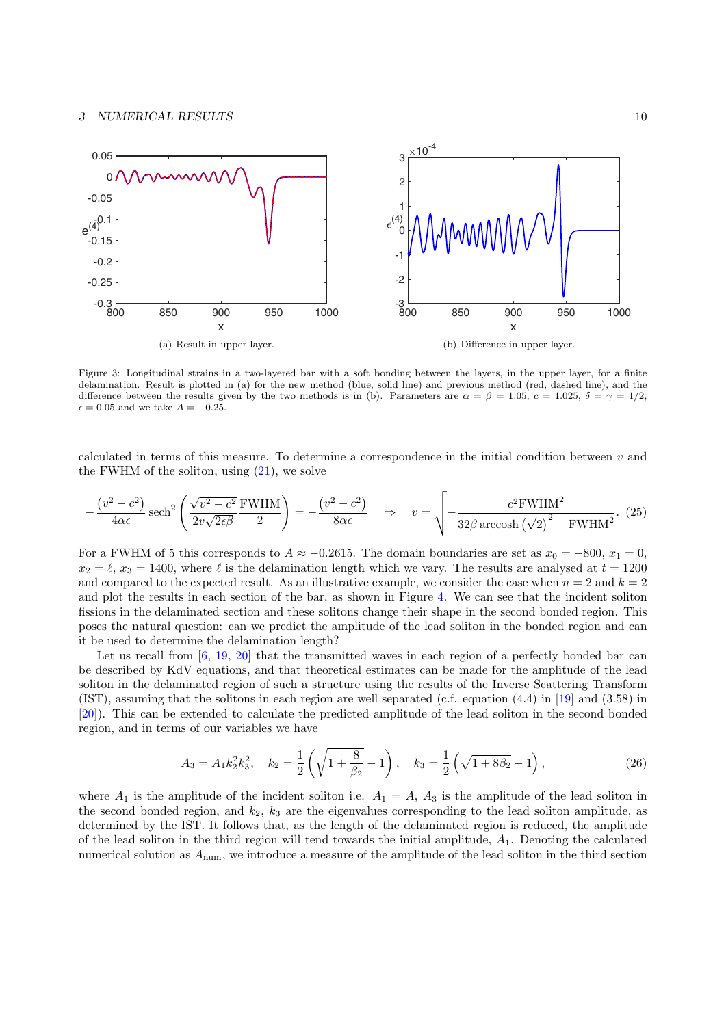<span id="page-9-0"></span>

Figure 3: Longitudinal strains in a two-layered bar with a soft bonding between the layers, in the upper layer, for a finite delamination. Result is plotted in (a) for the new method (blue, solid line) and previous method (red, dashed line), and the difference between the results given by the two methods is in (b). Parameters are  $\alpha = \beta = 1.05$ ,  $c = 1.025$ ,  $\delta = \gamma = 1/2$ .  $\epsilon = 0.05$  and we take  $A = -0.25$ .

calculated in terms of this measure. To determine a correspondence in the initial condition between v and the FWHM of the soliton, using  $(21)$ , we solve

$$
-\frac{\left(v^2 - c^2\right)}{4\alpha\epsilon} \operatorname{sech}^2\left(\frac{\sqrt{v^2 - c^2}}{2v\sqrt{2\epsilon\beta}} \frac{\text{FWHM}}{2}\right) = -\frac{\left(v^2 - c^2\right)}{8\alpha\epsilon} \quad \Rightarrow \quad v = \sqrt{-\frac{c^2 \text{FWHM}^2}{32\beta \operatorname{arccosh}\left(\sqrt{2}\right)^2 - \text{FWHM}^2}}. \tag{25}
$$

For a FWHM of 5 this corresponds to  $A \approx -0.2615$ . The domain boundaries are set as  $x_0 = -800$ ,  $x_1 = 0$ ,  $x_2 = \ell, x_3 = 1400$ , where  $\ell$  is the delamination length which we vary. The results are analysed at  $t = 1200$ and compared to the expected result. As an illustrative example, we consider the case when  $n = 2$  and  $k = 2$ and plot the results in each section of the bar, as shown in Figure [4.](#page-10-0) We can see that the incident soliton fissions in the delaminated section and these solitons change their shape in the second bonded region. This poses the natural question: can we predict the amplitude of the lead soliton in the bonded region and can it be used to determine the delamination length?

Let us recall from [\[6,](#page-12-5) [19,](#page-13-2) [20\]](#page-13-3) that the transmitted waves in each region of a perfectly bonded bar can be described by KdV equations, and that theoretical estimates can be made for the amplitude of the lead soliton in the delaminated region of such a structure using the results of the Inverse Scattering Transform (IST), assuming that the solitons in each region are well separated (c.f. equation (4.4) in [\[19\]](#page-13-2) and (3.58) in [\[20\]](#page-13-3)). This can be extended to calculate the predicted amplitude of the lead soliton in the second bonded region, and in terms of our variables we have

$$
A_3 = A_1 k_2^2 k_3^2, \quad k_2 = \frac{1}{2} \left( \sqrt{1 + \frac{8}{\beta_2}} - 1 \right), \quad k_3 = \frac{1}{2} \left( \sqrt{1 + 8\beta_2} - 1 \right), \tag{26}
$$

where  $A_1$  is the amplitude of the incident soliton i.e.  $A_1 = A$ ,  $A_3$  is the amplitude of the lead soliton in the second bonded region, and  $k_2$ ,  $k_3$  are the eigenvalues corresponding to the lead soliton amplitude, as determined by the IST. It follows that, as the length of the delaminated region is reduced, the amplitude of the lead soliton in the third region will tend towards the initial amplitude,  $A_1$ . Denoting the calculated numerical solution as Anum, we introduce a measure of the amplitude of the lead soliton in the third section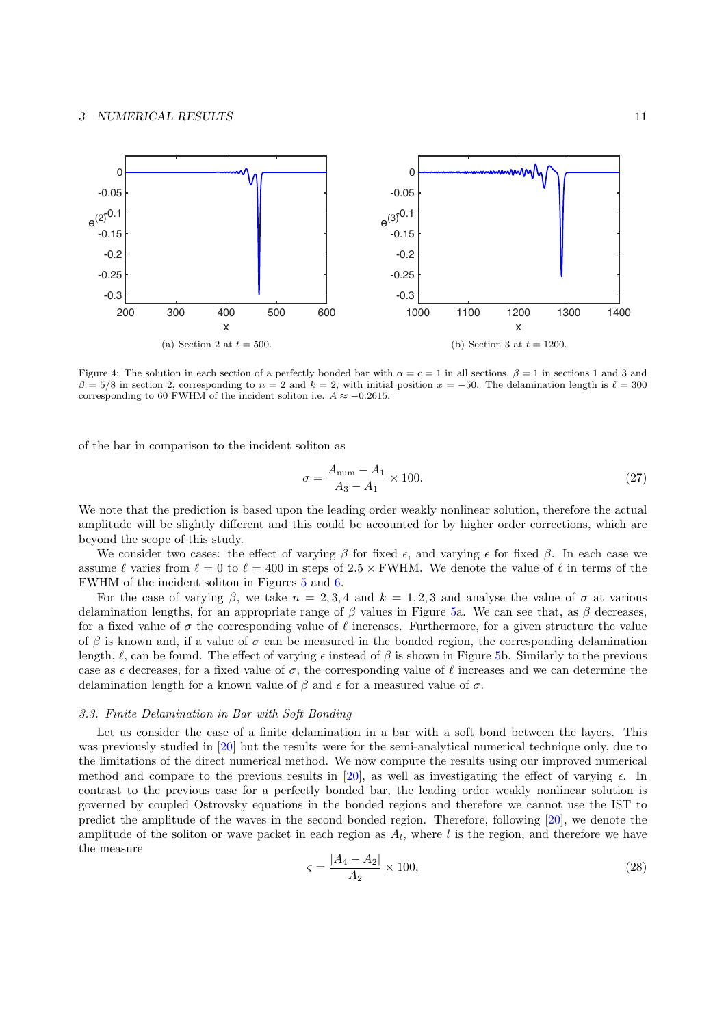# 3 NUMERICAL RESULTS 11

<span id="page-10-0"></span>

Figure 4: The solution in each section of a perfectly bonded bar with  $\alpha = c = 1$  in all sections,  $\beta = 1$  in sections 1 and 3 and  $\beta = 5/8$  in section 2, corresponding to  $n = 2$  and  $k = 2$ , with initial position  $x = -50$ . The delamination length is  $\ell = 300$ corresponding to 60 FWHM of the incident soliton i.e.  $A \approx -0.2615$ .

of the bar in comparison to the incident soliton as

$$
\sigma = \frac{A_{\text{num}} - A_1}{A_3 - A_1} \times 100. \tag{27}
$$

We note that the prediction is based upon the leading order weakly nonlinear solution, therefore the actual amplitude will be slightly different and this could be accounted for by higher order corrections, which are beyond the scope of this study.

We consider two cases: the effect of varying  $\beta$  for fixed  $\epsilon$ , and varying  $\epsilon$  for fixed  $\beta$ . In each case we assume  $\ell$  varies from  $\ell = 0$  to  $\ell = 400$  in steps of 2.5 × FWHM. We denote the value of  $\ell$  in terms of the FWHM of the incident soliton in Figures [5](#page-11-1) and [6.](#page-11-2)

For the case of varying  $\beta$ , we take  $n = 2, 3, 4$  and  $k = 1, 2, 3$  and analyse the value of  $\sigma$  at various delamination lengths, for an appropriate range of  $\beta$  values in Figure [5a](#page-11-1). We can see that, as  $\beta$  decreases, for a fixed value of  $\sigma$  the corresponding value of  $\ell$  increases. Furthermore, for a given structure the value of β is known and, if a value of  $\sigma$  can be measured in the bonded region, the corresponding delamination length,  $\ell$ , can be found. The effect of varying  $\epsilon$  instead of  $\beta$  is shown in Figure [5b](#page-11-1). Similarly to the previous case as  $\epsilon$  decreases, for a fixed value of  $\sigma$ , the corresponding value of  $\ell$  increases and we can determine the delamination length for a known value of  $\beta$  and  $\epsilon$  for a measured value of  $\sigma$ .

## 3.3. Finite Delamination in Bar with Soft Bonding

Let us consider the case of a finite delamination in a bar with a soft bond between the layers. This was previously studied in [\[20\]](#page-13-3) but the results were for the semi-analytical numerical technique only, due to the limitations of the direct numerical method. We now compute the results using our improved numerical method and compare to the previous results in [\[20\]](#page-13-3), as well as investigating the effect of varying  $\epsilon$ . In contrast to the previous case for a perfectly bonded bar, the leading order weakly nonlinear solution is governed by coupled Ostrovsky equations in the bonded regions and therefore we cannot use the IST to predict the amplitude of the waves in the second bonded region. Therefore, following [\[20\]](#page-13-3), we denote the amplitude of the soliton or wave packet in each region as  $A_l$ , where l is the region, and therefore we have the measure

$$
\varsigma = \frac{|A_4 - A_2|}{A_2} \times 100,\tag{28}
$$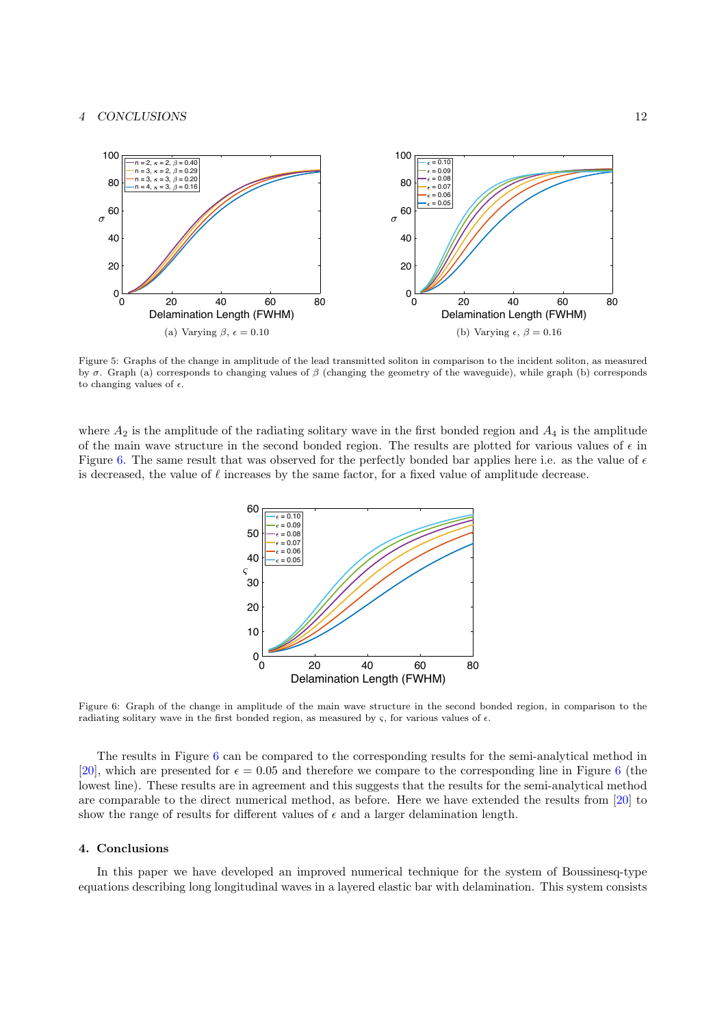# 4 CONCLUSIONS 12

<span id="page-11-1"></span>

Figure 5: Graphs of the change in amplitude of the lead transmitted soliton in comparison to the incident soliton, as measured by σ. Graph (a) corresponds to changing values of β (changing the geometry of the waveguide), while graph (b) corresponds to changing values of  $\epsilon$ .

<span id="page-11-2"></span>where  $A_2$  is the amplitude of the radiating solitary wave in the first bonded region and  $A_4$  is the amplitude of the main wave structure in the second bonded region. The results are plotted for various values of  $\epsilon$  in Figure [6.](#page-11-2) The same result that was observed for the perfectly bonded bar applies here i.e. as the value of  $\epsilon$ is decreased, the value of  $\ell$  increases by the same factor, for a fixed value of amplitude decrease.



Figure 6: Graph of the change in amplitude of the main wave structure in the second bonded region, in comparison to the radiating solitary wave in the first bonded region, as measured by  $\varsigma$ , for various values of  $\epsilon$ .

The results in Figure [6](#page-11-2) can be compared to the corresponding results for the semi-analytical method in [\[20\]](#page-13-3), which are presented for  $\epsilon = 0.05$  and therefore we compare to the corresponding line in Figure [6](#page-11-2) (the lowest line). These results are in agreement and this suggests that the results for the semi-analytical method are comparable to the direct numerical method, as before. Here we have extended the results from [\[20\]](#page-13-3) to show the range of results for different values of  $\epsilon$  and a larger delamination length.

# <span id="page-11-0"></span>4. Conclusions

In this paper we have developed an improved numerical technique for the system of Boussinesq-type equations describing long longitudinal waves in a layered elastic bar with delamination. This system consists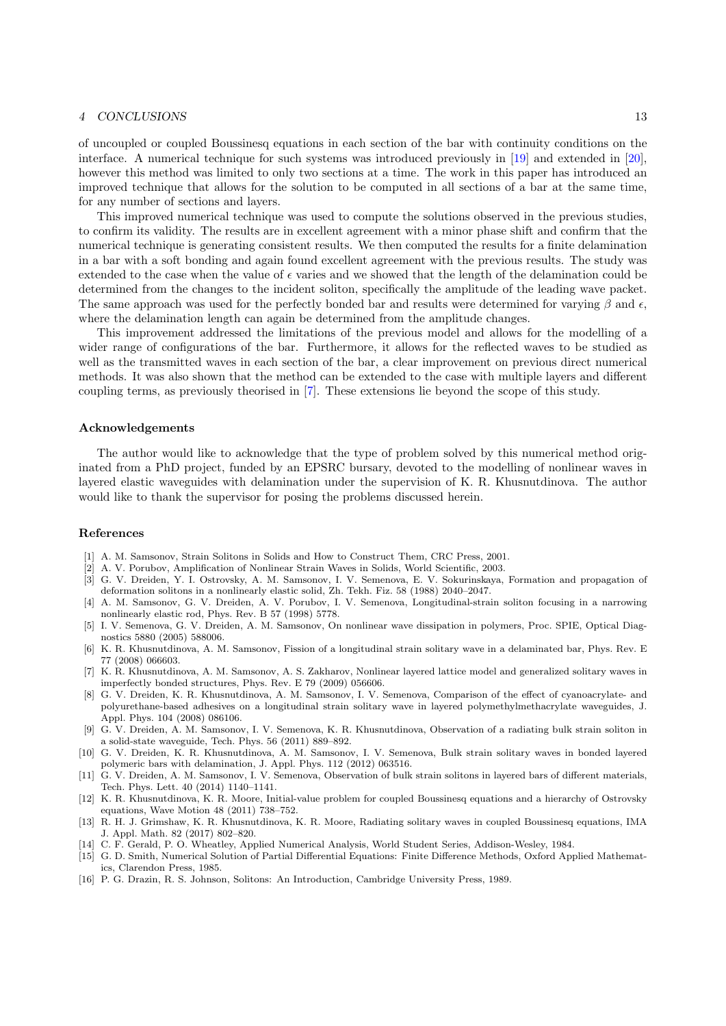#### 4 CONCLUSIONS 13

of uncoupled or coupled Boussinesq equations in each section of the bar with continuity conditions on the interface. A numerical technique for such systems was introduced previously in [\[19\]](#page-13-2) and extended in [\[20\]](#page-13-3), however this method was limited to only two sections at a time. The work in this paper has introduced an improved technique that allows for the solution to be computed in all sections of a bar at the same time, for any number of sections and layers.

This improved numerical technique was used to compute the solutions observed in the previous studies, to confirm its validity. The results are in excellent agreement with a minor phase shift and confirm that the numerical technique is generating consistent results. We then computed the results for a finite delamination in a bar with a soft bonding and again found excellent agreement with the previous results. The study was extended to the case when the value of  $\epsilon$  varies and we showed that the length of the delamination could be determined from the changes to the incident soliton, specifically the amplitude of the leading wave packet. The same approach was used for the perfectly bonded bar and results were determined for varying  $\beta$  and  $\epsilon$ . where the delamination length can again be determined from the amplitude changes.

This improvement addressed the limitations of the previous model and allows for the modelling of a wider range of configurations of the bar. Furthermore, it allows for the reflected waves to be studied as well as the transmitted waves in each section of the bar, a clear improvement on previous direct numerical methods. It was also shown that the method can be extended to the case with multiple layers and different coupling terms, as previously theorised in [\[7\]](#page-12-6). These extensions lie beyond the scope of this study.

## Acknowledgements

The author would like to acknowledge that the type of problem solved by this numerical method originated from a PhD project, funded by an EPSRC bursary, devoted to the modelling of nonlinear waves in layered elastic waveguides with delamination under the supervision of K. R. Khusnutdinova. The author would like to thank the supervisor for posing the problems discussed herein.

#### References

- <span id="page-12-0"></span>[1] A. M. Samsonov, Strain Solitons in Solids and How to Construct Them, CRC Press, 2001.
- <span id="page-12-1"></span>[2] A. V. Porubov, Amplification of Nonlinear Strain Waves in Solids, World Scientific, 2003.
- <span id="page-12-2"></span>[3] G. V. Dreiden, Y. I. Ostrovsky, A. M. Samsonov, I. V. Semenova, E. V. Sokurinskaya, Formation and propagation of deformation solitons in a nonlinearly elastic solid, Zh. Tekh. Fiz. 58 (1988) 2040–2047.
- <span id="page-12-3"></span>[4] A. M. Samsonov, G. V. Dreiden, A. V. Porubov, I. V. Semenova, Longitudinal-strain soliton focusing in a narrowing nonlinearly elastic rod, Phys. Rev. B 57 (1998) 5778.
- <span id="page-12-4"></span>[5] I. V. Semenova, G. V. Dreiden, A. M. Samsonov, On nonlinear wave dissipation in polymers, Proc. SPIE, Optical Diagnostics 5880 (2005) 588006.
- <span id="page-12-5"></span>[6] K. R. Khusnutdinova, A. M. Samsonov, Fission of a longitudinal strain solitary wave in a delaminated bar, Phys. Rev. E 77 (2008) 066603.
- <span id="page-12-6"></span>[7] K. R. Khusnutdinova, A. M. Samsonov, A. S. Zakharov, Nonlinear layered lattice model and generalized solitary waves in imperfectly bonded structures, Phys. Rev. E 79 (2009) 056606.
- <span id="page-12-7"></span>[8] G. V. Dreiden, K. R. Khusnutdinova, A. M. Samsonov, I. V. Semenova, Comparison of the effect of cyanoacrylate- and polyurethane-based adhesives on a longitudinal strain solitary wave in layered polymethylmethacrylate waveguides, J. Appl. Phys. 104 (2008) 086106.
- <span id="page-12-8"></span>[9] G. V. Dreiden, A. M. Samsonov, I. V. Semenova, K. R. Khusnutdinova, Observation of a radiating bulk strain soliton in a solid-state waveguide, Tech. Phys. 56 (2011) 889–892.
- <span id="page-12-9"></span>[10] G. V. Dreiden, K. R. Khusnutdinova, A. M. Samsonov, I. V. Semenova, Bulk strain solitary waves in bonded layered polymeric bars with delamination, J. Appl. Phys. 112 (2012) 063516.
- <span id="page-12-10"></span>[11] G. V. Dreiden, A. M. Samsonov, I. V. Semenova, Observation of bulk strain solitons in layered bars of different materials, Tech. Phys. Lett. 40 (2014) 1140–1141.
- <span id="page-12-11"></span>[12] K. R. Khusnutdinova, K. R. Moore, Initial-value problem for coupled Boussinesq equations and a hierarchy of Ostrovsky equations, Wave Motion 48 (2011) 738–752.
- <span id="page-12-12"></span>[13] R. H. J. Grimshaw, K. R. Khusnutdinova, K. R. Moore, Radiating solitary waves in coupled Boussinesq equations, IMA J. Appl. Math. 82 (2017) 802–820.
- <span id="page-12-13"></span>[14] C. F. Gerald, P. O. Wheatley, Applied Numerical Analysis, World Student Series, Addison-Wesley, 1984.
- <span id="page-12-14"></span>[15] G. D. Smith, Numerical Solution of Partial Differential Equations: Finite Difference Methods, Oxford Applied Mathematics, Clarendon Press, 1985.
- <span id="page-12-15"></span>[16] P. G. Drazin, R. S. Johnson, Solitons: An Introduction, Cambridge University Press, 1989.